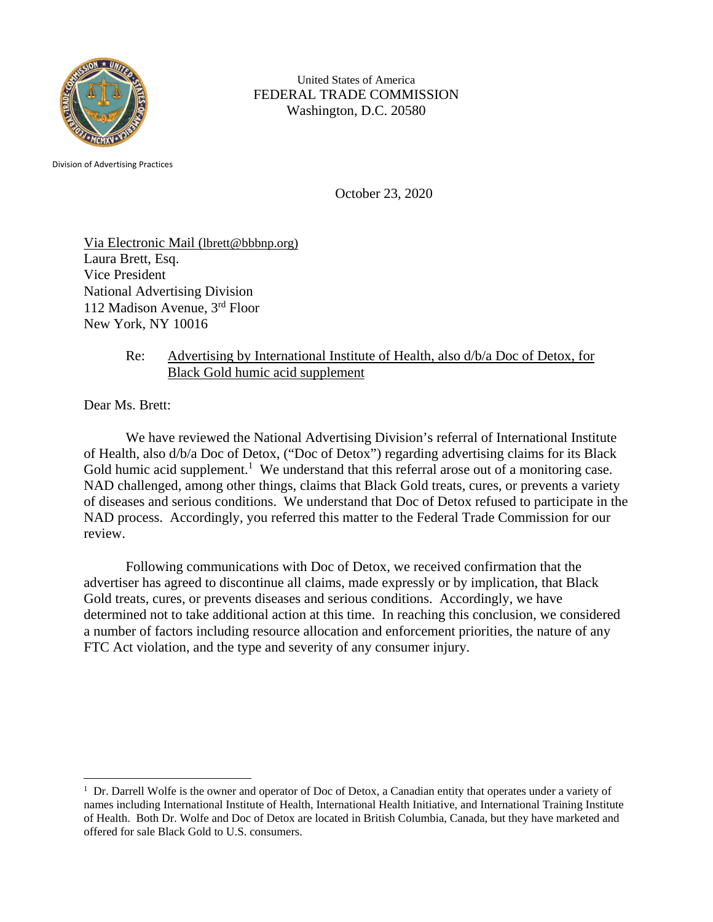

United States of America FEDERAL TRADE COMMISSION Washington, D.C. 20580

Division of Advertising Practices

October 23, 2020

Via Electronic Mail (lbrett@bbbnp.org) Laura Brett, Esq. Vice President National Advertising Division 112 Madison Avenue, 3rd Floor New York, NY 10016

## Re: Advertising by International Institute of Health, also d/b/a Doc of Detox, for Black Gold humic acid supplement

Dear Ms. Brett:

We have reviewed the National Advertising Division's referral of International Institute of Health, also d/b/a Doc of Detox, ("Doc of Detox") regarding advertising claims for its Black Gold humic acid supplement.<sup>1</sup> We understand that this referral arose out of a monitoring case. NAD challenged, among other things, claims that Black Gold treats, cures, or prevents a variety of diseases and serious conditions. We understand that Doc of Detox refused to participate in the NAD process. Accordingly, you referred this matter to the Federal Trade Commission for our review.

Following communications with Doc of Detox, we received confirmation that the advertiser has agreed to discontinue all claims, made expressly or by implication, that Black Gold treats, cures, or prevents diseases and serious conditions. Accordingly, we have determined not to take additional action at this time. In reaching this conclusion, we considered a number of factors including resource allocation and enforcement priorities, the nature of any FTC Act violation, and the type and severity of any consumer injury.

<sup>&</sup>lt;sup>1</sup> Dr. Darrell Wolfe is the owner and operator of Doc of Detox, a Canadian entity that operates under a variety of names including International Institute of Health, International Health Initiative, and International Training Institute of Health. Both Dr. Wolfe and Doc of Detox are located in British Columbia, Canada, but they have marketed and offered for sale Black Gold to U.S. consumers.